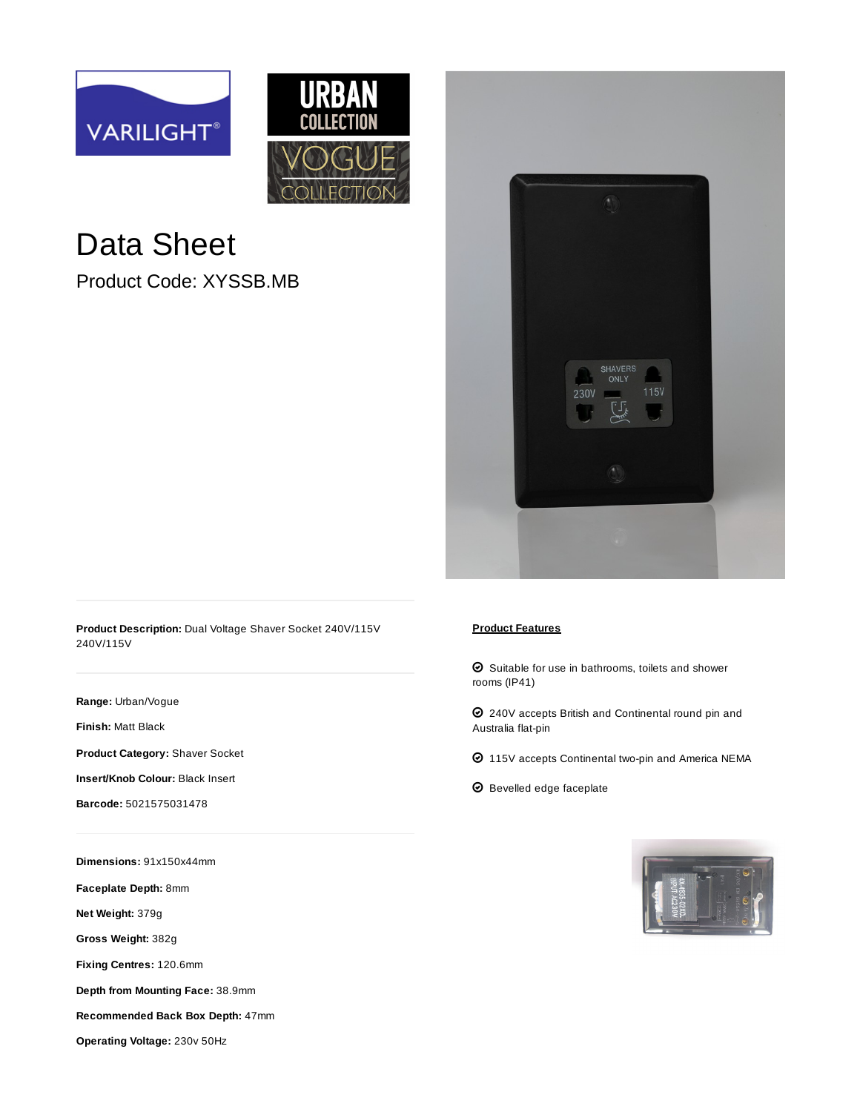



## Data Sheet

Product Code: XYSSB.MB



**Product Description:** Dual Voltage Shaver Socket 240V/115V 240V/115V

**Range:** [Urban/Vogue](https://www.varilight.co.uk/ranges/urban-range.php)

**Finish:** [Matt Black](https://www.varilight.co.uk/ranges/range-urban-matt-black.php)

**Product Category:** Shaver Socket

**Insert/Knob Colour:** Black Insert

**Barcode:** 5021575031478

**Dimensions:** 91x150x44mm

**Faceplate Depth:** 8mm

**Net Weight:** 379g

**Gross Weight:** 382g

**Fixing Centres:** 120.6mm

**Depth from Mounting Face:** 38.9mm

**Recommended Back Box Depth:** 47mm

**Operating Voltage:** 230v 50Hz

## **Product Features**

 $\bm{\odot}$  Suitable for use in bathrooms, toilets and shower rooms (IP41)

 $\bm{\odot}$  240V accepts British and Continental round pin and Australia flat-pin

- $\odot$  115V accepts Continental two-pin and America NEMA
- $\bm{\Theta}$  Bevelled edge faceplate